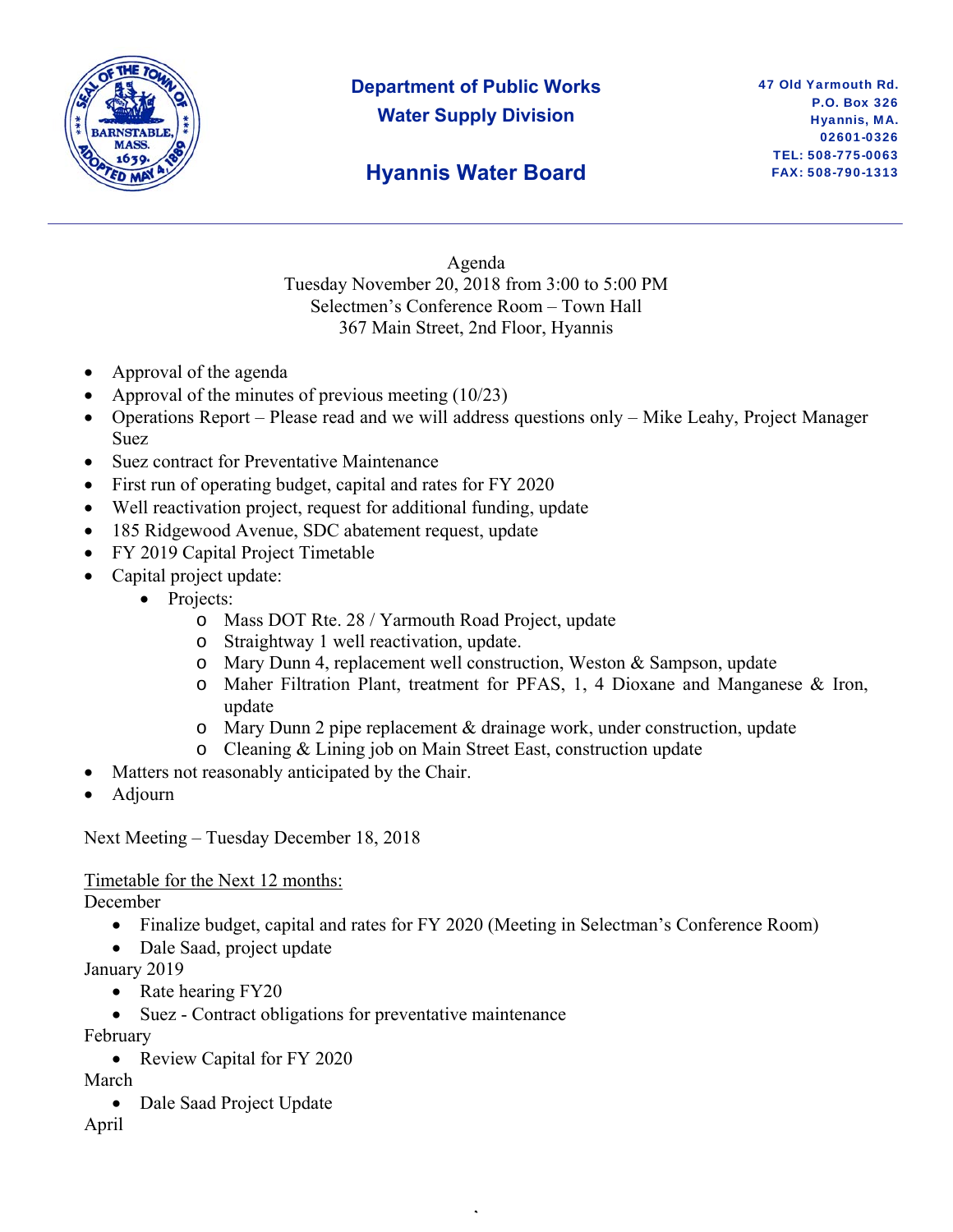

## **Department of Public Works Water Supply Division**

## **Hyannis Water Board**

Agenda Tuesday November 20, 2018 from 3:00 to 5:00 PM Selectmen's Conference Room – Town Hall 367 Main Street, 2nd Floor, Hyannis

- Approval of the agenda
- Approval of the minutes of previous meeting (10/23)
- Operations Report Please read and we will address questions only Mike Leahy, Project Manager Suez
- Suez contract for Preventative Maintenance
- First run of operating budget, capital and rates for FY 2020
- Well reactivation project, request for additional funding, update
- 185 Ridgewood Avenue, SDC abatement request, update
- FY 2019 Capital Project Timetable
- Capital project update:
	- Projects:
		- o Mass DOT Rte. 28 / Yarmouth Road Project, update
		- o Straightway 1 well reactivation, update.
		- o Mary Dunn 4, replacement well construction, Weston & Sampson, update
		- o Maher Filtration Plant, treatment for PFAS, 1, 4 Dioxane and Manganese & Iron, update
		- $\circ$  Mary Dunn 2 pipe replacement & drainage work, under construction, update
		- o Cleaning & Lining job on Main Street East, construction update
- Matters not reasonably anticipated by the Chair.
- Adjourn

Next Meeting – Tuesday December 18, 2018

Timetable for the Next 12 months:

December

• Finalize budget, capital and rates for FY 2020 (Meeting in Selectman's Conference Room)

,

- Dale Saad, project update
- January 2019
	- Rate hearing FY20
	- Suez Contract obligations for preventative maintenance

February

• Review Capital for FY 2020

March

• Dale Saad Project Update

April